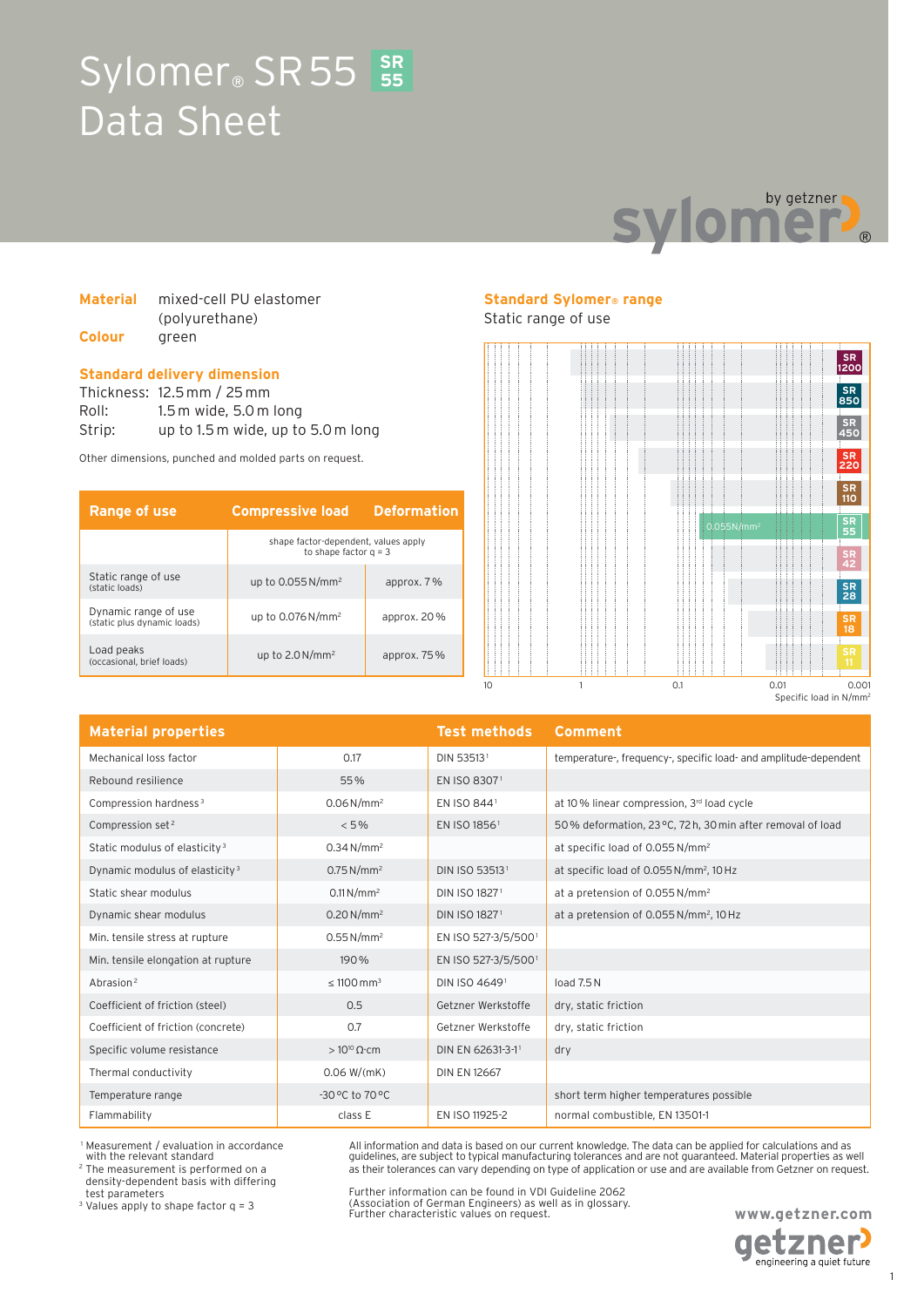# **SR**  Sylomer<sup>®</sup> SR 55 SR Data Sheet



#### **Material** mixed-cell PU elastomer (polyurethane) **Colour** green

#### **Standard delivery dimension**

Thickness: 12.5 mm / 25 mm Roll: 1.5 m wide, 5.0 m long Strip: up to 1.5 m wide, up to 5.0 m long

Other dimensions, punched and molded parts on request.

| <b>Range of use</b>                                 | <b>Compressive load</b>                                         | <b>Deformation</b> |
|-----------------------------------------------------|-----------------------------------------------------------------|--------------------|
|                                                     | shape factor-dependent, values apply<br>to shape factor $q = 3$ |                    |
| Static range of use<br>(static loads)               | up to $0.055$ N/mm <sup>2</sup>                                 | approx. 7 %        |
| Dynamic range of use<br>(static plus dynamic loads) | up to $0.076$ N/mm <sup>2</sup>                                 | approx. $20\%$     |
| Load peaks<br>(occasional, brief loads)             | up to $2.0 N/mm^2$                                              | approx. $75\%$     |

# **Standard Sylomer® range**

Static range of use



| <b>Material properties</b>                 |                             | <b>Test methods</b>       | Comment                                                          |
|--------------------------------------------|-----------------------------|---------------------------|------------------------------------------------------------------|
| Mechanical loss factor                     | 0.17                        | DIN 535131                | temperature-, frequency-, specific load- and amplitude-dependent |
| Rebound resilience                         | 55%                         | EN ISO 83071              |                                                                  |
| Compression hardness <sup>3</sup>          | $0.06 N/mm^2$               | EN ISO 8441               | at 10% linear compression, 3rd load cycle                        |
| Compression set <sup>2</sup>               | $< 5\%$                     | EN ISO 18561              | 50% deformation, 23 °C, 72 h, 30 min after removal of load       |
| Static modulus of elasticity <sup>3</sup>  | $0.34 N/mm^2$               |                           | at specific load of 0.055 N/mm <sup>2</sup>                      |
| Dynamic modulus of elasticity <sup>3</sup> | 0.75 N/mm <sup>2</sup>      | DIN ISO 535131            | at specific load of 0.055 N/mm <sup>2</sup> , 10 Hz              |
| Static shear modulus                       | $0.11 N/mm^2$               | DIN ISO 18271             | at a pretension of 0.055 N/mm <sup>2</sup>                       |
| Dynamic shear modulus                      | $0.20 N/mm^2$               | DIN ISO 1827 <sup>1</sup> | at a pretension of 0.055 N/mm <sup>2</sup> , 10 Hz               |
| Min. tensile stress at rupture             | $0.55 N/mm^2$               | EN ISO 527-3/5/5001       |                                                                  |
| Min. tensile elongation at rupture         | 190%                        | EN ISO 527-3/5/5001       |                                                                  |
| Abrasion <sup>2</sup>                      | $\leq 1100$ mm <sup>3</sup> | DIN ISO 46491             | load $7.5N$                                                      |
| Coefficient of friction (steel)            | 0.5                         | Getzner Werkstoffe        | dry, static friction                                             |
| Coefficient of friction (concrete)         | 0.7                         | Getzner Werkstoffe        | dry, static friction                                             |
| Specific volume resistance                 | $>10^{10} \Omega$ cm        | DIN EN 62631-3-11         | dry                                                              |
| Thermal conductivity                       | 0.06 W/(mK)                 | <b>DIN EN 12667</b>       |                                                                  |
| Temperature range                          | $-30$ °C to $70$ °C         |                           | short term higher temperatures possible                          |
| Flammability                               | class E                     | EN ISO 11925-2            | normal combustible, EN 13501-1                                   |

 1 Measurement / evaluation in accordance with the relevant standard

2 The measurement is performed on a density-dependent basis with differing test parameters

<sup>3</sup> Values apply to shape factor  $q = 3$ 

Further information can be found in VDI Guideline 2062 (Association of German Engineers) as well as in glossary. Further characteristic values on request.

All information and data is based on our current knowledge. The data can be applied for calculations and as guidelines, are subject to typical manufacturing tolerances and are not guaranteed. Material properties as well as their tolerances can vary depending on type of application or use and are available from Getzner on request.

> **www.getzner.com etzner**

engineering a quiet future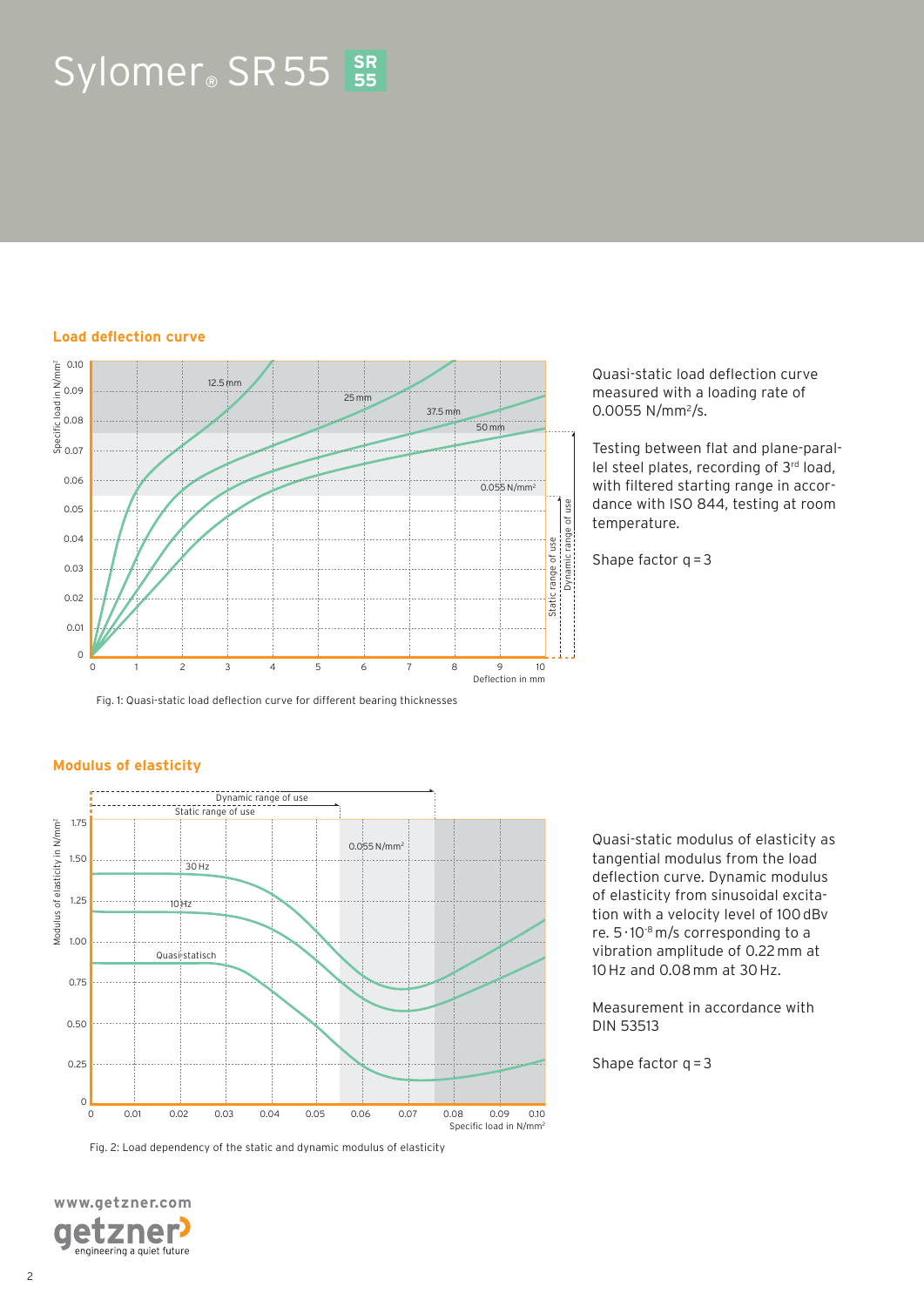# $Sylomer<sub>®</sub>$  SR 55 **55**

#### **Load deflection curve**



Quasi-static load deflection curve measured with a loading rate of 0.0055 N/mm<sup>2</sup>/s.

Testing between flat and plane-parallel steel plates, recording of 3rd load, with filtered starting range in accordance with ISO 844, testing at room temperature.

Shape factor  $q = 3$ 

Fig. 1: Quasi-static load deflection curve for different bearing thicknesses

#### **Modulus of elasticity**



Fig. 2: Load dependency of the static and dynamic modulus of elasticity



Quasi-static modulus of elasticity as tangential modulus from the load deflection curve. Dynamic modulus of elasticity from sinusoidal excitation with a velocity level of 100 dBv re.  $5 \cdot 10^{-8}$  m/s corresponding to a vibration amplitude of 0.22 mm at 10 Hz and 0.08 mm at 30 Hz.

Measurement in accordance with DIN 53513

Shape factor  $q = 3$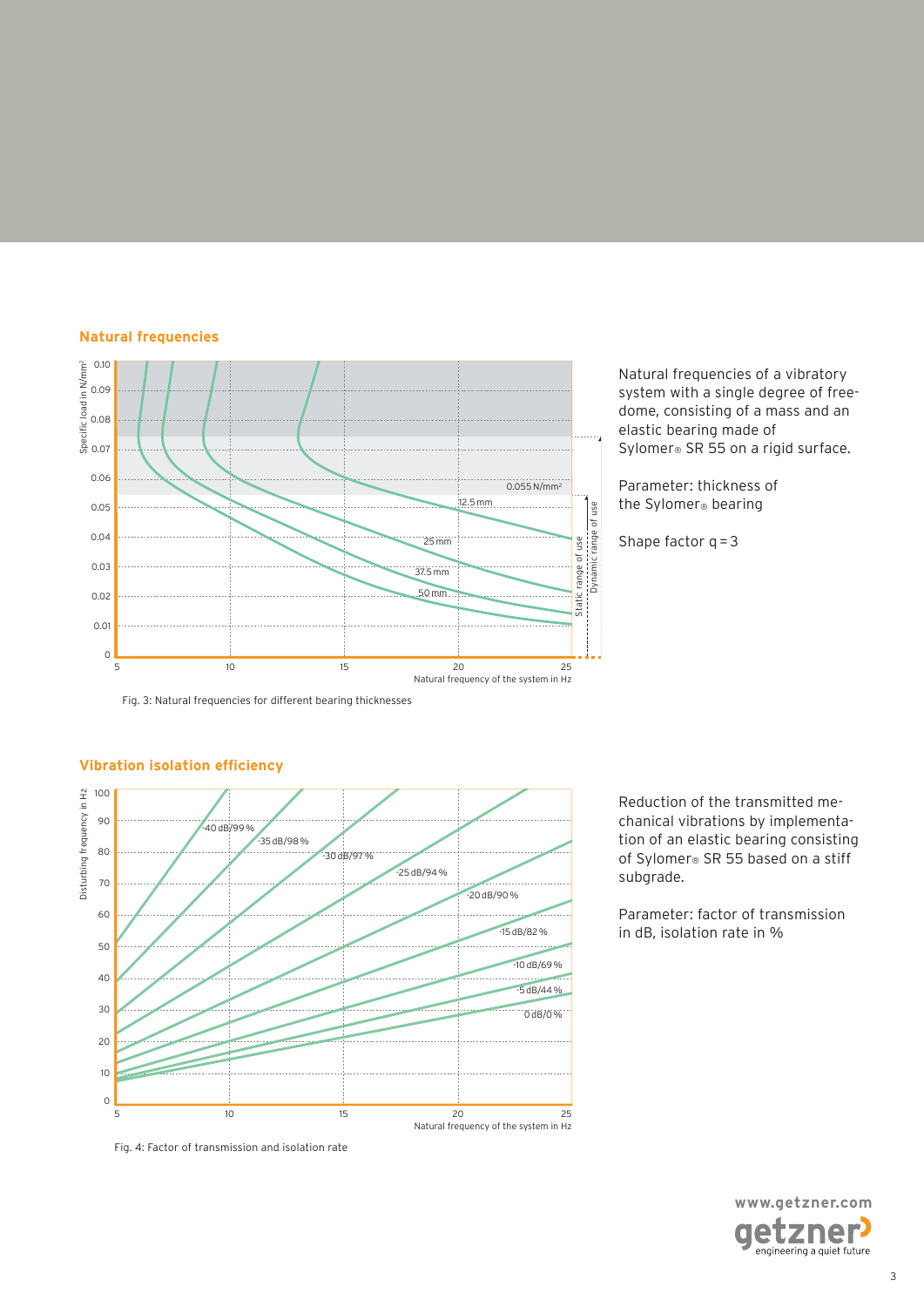#### **Natural frequencies**



Natural frequencies of a vibratory system with a single degree of freedome, consisting of a mass and an elastic bearing made of Sylomer<sup>®</sup> SR 55 on a rigid surface.

Parameter: thickness of the Sylomer® bearing

Shape factor  $q = 3$ 

Fig. 3: Natural frequencies for different bearing thicknesses



### **Vibration isolation efficiency**

Reduction of the transmitted mechanical vibrations by implementation of an elastic bearing consisting of Sylomer® SR 55 based on a stiff subgrade.

Parameter: factor of transmission in dB, isolation rate in %